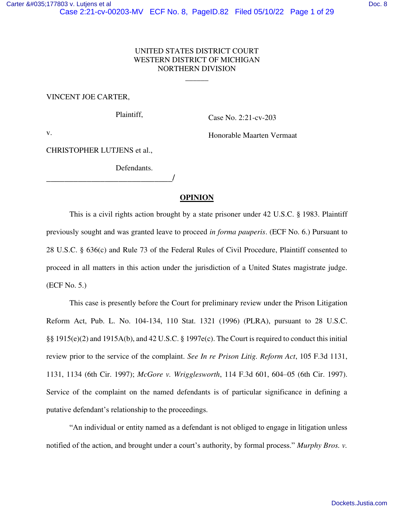## UNITED STATES DISTRICT COURT WESTERN DISTRICT OF MICHIGAN NORTHERN DIVISION

 $\overline{\phantom{a}}$ 

#### VINCENT JOE CARTER,

Plaintiff,

Case No. 2:21-cv-203

v.

Honorable Maarten Vermaat

CHRISTOPHER LUTJENS et al.,

\_\_\_\_\_\_\_\_\_\_\_\_\_\_\_\_\_\_\_\_\_\_\_\_\_\_\_\_/

Defendants.

### **OPINION**

This is a civil rights action brought by a state prisoner under 42 U.S.C. § 1983. Plaintiff previously sought and was granted leave to proceed *in forma pauperis*. (ECF No. 6.) Pursuant to 28 U.S.C. § 636(c) and Rule 73 of the Federal Rules of Civil Procedure, Plaintiff consented to proceed in all matters in this action under the jurisdiction of a United States magistrate judge. (ECF No. 5.)

This case is presently before the Court for preliminary review under the Prison Litigation Reform Act, Pub. L. No. 104-134, 110 Stat. 1321 (1996) (PLRA), pursuant to 28 U.S.C. §§ 1915(e)(2) and 1915A(b), and 42 U.S.C. § 1997e(c). The Court is required to conduct this initial review prior to the service of the complaint. *See In re Prison Litig. Reform Act*, 105 F.3d 1131, 1131, 1134 (6th Cir. 1997); *McGore v. Wrigglesworth*, 114 F.3d 601, 604–05 (6th Cir. 1997). Service of the complaint on the named defendants is of particular significance in defining a putative defendant's relationship to the proceedings.

"An individual or entity named as a defendant is not obliged to engage in litigation unless notified of the action, and brought under a court's authority, by formal process." *Murphy Bros. v.*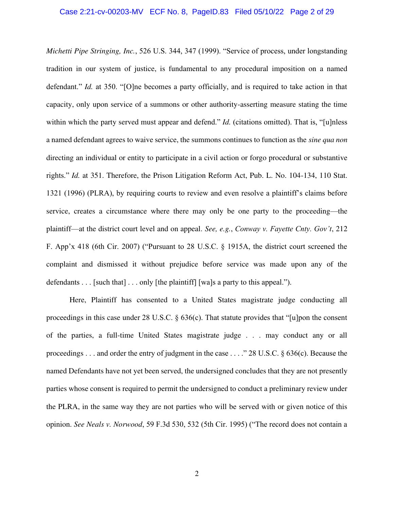#### Case 2:21-cv-00203-MV ECF No. 8, PageID.83 Filed 05/10/22 Page 2 of 29

*Michetti Pipe Stringing, Inc.*, 526 U.S. 344, 347 (1999). "Service of process, under longstanding tradition in our system of justice, is fundamental to any procedural imposition on a named defendant." *Id.* at 350. "[O]ne becomes a party officially, and is required to take action in that capacity, only upon service of a summons or other authority-asserting measure stating the time within which the party served must appear and defend." *Id.* (citations omitted). That is, "[u]nless a named defendant agrees to waive service, the summons continues to function as the *sine qua non* directing an individual or entity to participate in a civil action or forgo procedural or substantive rights." *Id.* at 351. Therefore, the Prison Litigation Reform Act, Pub. L. No. 104-134, 110 Stat. 1321 (1996) (PLRA), by requiring courts to review and even resolve a plaintiff's claims before service, creates a circumstance where there may only be one party to the proceeding—the plaintiff—at the district court level and on appeal. *See, e.g.*, *Conway v. Fayette Cnty. Gov't*, 212 F. App'x 418 (6th Cir. 2007) ("Pursuant to 28 U.S.C. § 1915A, the district court screened the complaint and dismissed it without prejudice before service was made upon any of the defendants  $\ldots$  [such that]  $\ldots$  only [the plaintiff] [wa]s a party to this appeal.").

Here, Plaintiff has consented to a United States magistrate judge conducting all proceedings in this case under  $28$  U.S.C.  $\S$  636(c). That statute provides that "[u]pon the consent of the parties, a full-time United States magistrate judge . . . may conduct any or all proceedings . . . and order the entry of judgment in the case . . . ." 28 U.S.C. § 636(c). Because the named Defendants have not yet been served, the undersigned concludes that they are not presently parties whose consent is required to permit the undersigned to conduct a preliminary review under the PLRA, in the same way they are not parties who will be served with or given notice of this opinion. *See Neals v. Norwood*, 59 F.3d 530, 532 (5th Cir. 1995) ("The record does not contain a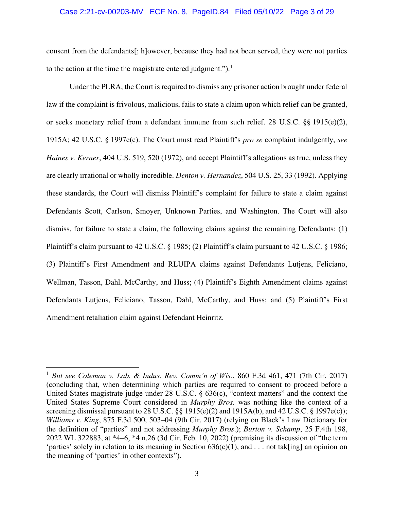#### Case 2:21-cv-00203-MV ECF No. 8, PageID.84 Filed 05/10/22 Page 3 of 29

consent from the defendants[; h]owever, because they had not been served, they were not parties to the action at the time the magistrate entered judgment.").<sup>1</sup>

Under the PLRA, the Court is required to dismiss any prisoner action brought under federal law if the complaint is frivolous, malicious, fails to state a claim upon which relief can be granted, or seeks monetary relief from a defendant immune from such relief. 28 U.S.C. §§ 1915(e)(2), 1915A; 42 U.S.C. § 1997e(c). The Court must read Plaintiff's *pro se* complaint indulgently, *see Haines v. Kerner*, 404 U.S. 519, 520 (1972), and accept Plaintiff's allegations as true, unless they are clearly irrational or wholly incredible. *Denton v. Hernandez*, 504 U.S. 25, 33 (1992). Applying these standards, the Court will dismiss Plaintiff's complaint for failure to state a claim against Defendants Scott, Carlson, Smoyer, Unknown Parties, and Washington. The Court will also dismiss, for failure to state a claim, the following claims against the remaining Defendants: (1) Plaintiff's claim pursuant to 42 U.S.C. § 1985; (2) Plaintiff's claim pursuant to 42 U.S.C. § 1986; (3) Plaintiff's First Amendment and RLUIPA claims against Defendants Lutjens, Feliciano, Wellman, Tasson, Dahl, McCarthy, and Huss; (4) Plaintiff's Eighth Amendment claims against Defendants Lutjens, Feliciano, Tasson, Dahl, McCarthy, and Huss; and (5) Plaintiff's First Amendment retaliation claim against Defendant Heinritz.

<sup>1</sup> *But see Coleman v. Lab. & Indus. Rev. Comm'n of Wis*., 860 F.3d 461, 471 (7th Cir. 2017) (concluding that, when determining which parties are required to consent to proceed before a United States magistrate judge under 28 U.S.C. § 636(c), "context matters" and the context the United States Supreme Court considered in *Murphy Bros.* was nothing like the context of a screening dismissal pursuant to 28 U.S.C.  $\S$ § 1915(e)(2) and 1915A(b), and 42 U.S.C. § 1997e(c)); *Williams v. King*, 875 F.3d 500, 503–04 (9th Cir. 2017) (relying on Black's Law Dictionary for the definition of "parties" and not addressing *Murphy Bros*.); *Burton v. Schamp*, 25 F.4th 198, 2022 WL 322883, at \*4–6, \*4 n.26 (3d Cir. Feb. 10, 2022) (premising its discussion of "the term 'parties' solely in relation to its meaning in Section  $636(c)(1)$ , and . . . not tak[ing] an opinion on the meaning of 'parties' in other contexts").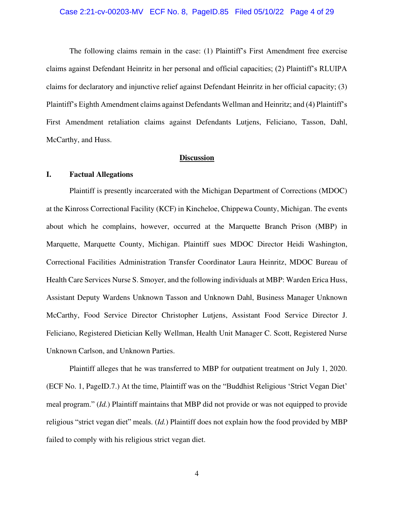#### Case 2:21-cv-00203-MV ECF No. 8, PageID.85 Filed 05/10/22 Page 4 of 29

The following claims remain in the case: (1) Plaintiff's First Amendment free exercise claims against Defendant Heinritz in her personal and official capacities; (2) Plaintiff's RLUIPA claims for declaratory and injunctive relief against Defendant Heinritz in her official capacity; (3) Plaintiff's Eighth Amendment claims against Defendants Wellman and Heinritz; and (4) Plaintiff's First Amendment retaliation claims against Defendants Lutjens, Feliciano, Tasson, Dahl, McCarthy, and Huss.

# **Discussion**

### **I. Factual Allegations**

Plaintiff is presently incarcerated with the Michigan Department of Corrections (MDOC) at the Kinross Correctional Facility (KCF) in Kincheloe, Chippewa County, Michigan. The events about which he complains, however, occurred at the Marquette Branch Prison (MBP) in Marquette, Marquette County, Michigan. Plaintiff sues MDOC Director Heidi Washington, Correctional Facilities Administration Transfer Coordinator Laura Heinritz, MDOC Bureau of Health Care Services Nurse S. Smoyer, and the following individuals at MBP: Warden Erica Huss, Assistant Deputy Wardens Unknown Tasson and Unknown Dahl, Business Manager Unknown McCarthy, Food Service Director Christopher Lutjens, Assistant Food Service Director J. Feliciano, Registered Dietician Kelly Wellman, Health Unit Manager C. Scott, Registered Nurse Unknown Carlson, and Unknown Parties.

Plaintiff alleges that he was transferred to MBP for outpatient treatment on July 1, 2020. (ECF No. 1, PageID.7.) At the time, Plaintiff was on the "Buddhist Religious 'Strict Vegan Diet' meal program." (*Id.*) Plaintiff maintains that MBP did not provide or was not equipped to provide religious "strict vegan diet" meals. (*Id.*) Plaintiff does not explain how the food provided by MBP failed to comply with his religious strict vegan diet.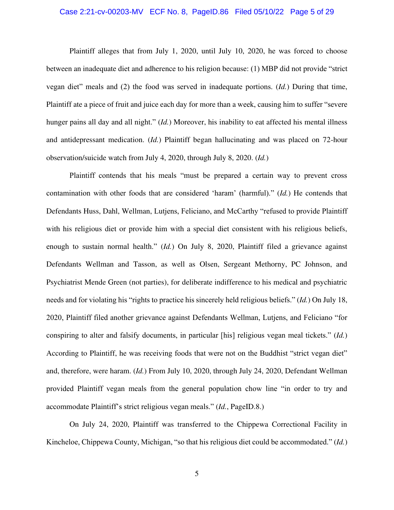#### Case 2:21-cv-00203-MV ECF No. 8, PageID.86 Filed 05/10/22 Page 5 of 29

Plaintiff alleges that from July 1, 2020, until July 10, 2020, he was forced to choose between an inadequate diet and adherence to his religion because: (1) MBP did not provide "strict vegan diet" meals and (2) the food was served in inadequate portions. (*Id.*) During that time, Plaintiff ate a piece of fruit and juice each day for more than a week, causing him to suffer "severe hunger pains all day and all night." (*Id.*) Moreover, his inability to eat affected his mental illness and antidepressant medication. (*Id.*) Plaintiff began hallucinating and was placed on 72-hour observation/suicide watch from July 4, 2020, through July 8, 2020. (*Id.*)

Plaintiff contends that his meals "must be prepared a certain way to prevent cross contamination with other foods that are considered 'haram' (harmful)." (*Id.*) He contends that Defendants Huss, Dahl, Wellman, Lutjens, Feliciano, and McCarthy "refused to provide Plaintiff with his religious diet or provide him with a special diet consistent with his religious beliefs, enough to sustain normal health." (*Id.*) On July 8, 2020, Plaintiff filed a grievance against Defendants Wellman and Tasson, as well as Olsen, Sergeant Methorny, PC Johnson, and Psychiatrist Mende Green (not parties), for deliberate indifference to his medical and psychiatric needs and for violating his "rights to practice his sincerely held religious beliefs." (*Id.*) On July 18, 2020, Plaintiff filed another grievance against Defendants Wellman, Lutjens, and Feliciano "for conspiring to alter and falsify documents, in particular [his] religious vegan meal tickets." (*Id.*) According to Plaintiff, he was receiving foods that were not on the Buddhist "strict vegan diet" and, therefore, were haram. (*Id.*) From July 10, 2020, through July 24, 2020, Defendant Wellman provided Plaintiff vegan meals from the general population chow line "in order to try and accommodate Plaintiff's strict religious vegan meals." (*Id.*, PageID.8.)

On July 24, 2020, Plaintiff was transferred to the Chippewa Correctional Facility in Kincheloe, Chippewa County, Michigan, "so that his religious diet could be accommodated." (*Id.*)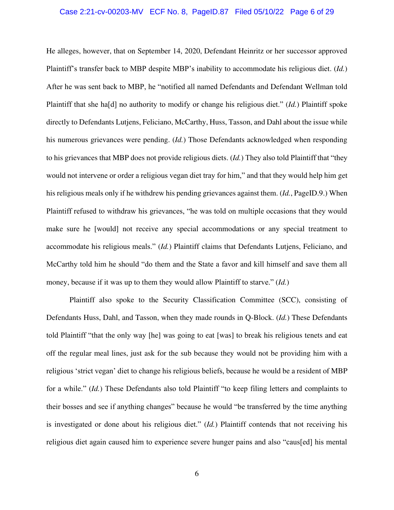#### Case 2:21-cv-00203-MV ECF No. 8, PageID.87 Filed 05/10/22 Page 6 of 29

He alleges, however, that on September 14, 2020, Defendant Heinritz or her successor approved Plaintiff's transfer back to MBP despite MBP's inability to accommodate his religious diet. (*Id.*) After he was sent back to MBP, he "notified all named Defendants and Defendant Wellman told Plaintiff that she ha[d] no authority to modify or change his religious diet." (*Id.*) Plaintiff spoke directly to Defendants Lutjens, Feliciano, McCarthy, Huss, Tasson, and Dahl about the issue while his numerous grievances were pending. (*Id.*) Those Defendants acknowledged when responding to his grievances that MBP does not provide religious diets. (*Id.*) They also told Plaintiff that "they would not intervene or order a religious vegan diet tray for him," and that they would help him get his religious meals only if he withdrew his pending grievances against them. (*Id.*, PageID.9.) When Plaintiff refused to withdraw his grievances, "he was told on multiple occasions that they would make sure he [would] not receive any special accommodations or any special treatment to accommodate his religious meals." (*Id.*) Plaintiff claims that Defendants Lutjens, Feliciano, and McCarthy told him he should "do them and the State a favor and kill himself and save them all money, because if it was up to them they would allow Plaintiff to starve." (*Id.*)

Plaintiff also spoke to the Security Classification Committee (SCC), consisting of Defendants Huss, Dahl, and Tasson, when they made rounds in Q-Block. (*Id.*) These Defendants told Plaintiff "that the only way [he] was going to eat [was] to break his religious tenets and eat off the regular meal lines, just ask for the sub because they would not be providing him with a religious 'strict vegan' diet to change his religious beliefs, because he would be a resident of MBP for a while." (*Id.*) These Defendants also told Plaintiff "to keep filing letters and complaints to their bosses and see if anything changes" because he would "be transferred by the time anything is investigated or done about his religious diet." (*Id.*) Plaintiff contends that not receiving his religious diet again caused him to experience severe hunger pains and also "caus[ed] his mental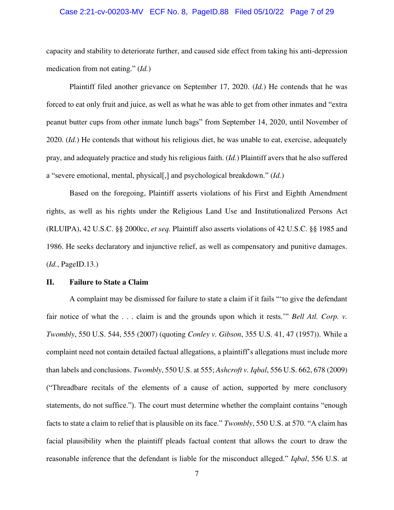### Case 2:21-cv-00203-MV ECF No. 8, PageID.88 Filed 05/10/22 Page 7 of 29

capacity and stability to deteriorate further, and caused side effect from taking his anti-depression medication from not eating." (*Id.*)

Plaintiff filed another grievance on September 17, 2020. (*Id.*) He contends that he was forced to eat only fruit and juice, as well as what he was able to get from other inmates and "extra peanut butter cups from other inmate lunch bags" from September 14, 2020, until November of 2020. (*Id.*) He contends that without his religious diet, he was unable to eat, exercise, adequately pray, and adequately practice and study his religious faith. (*Id.*) Plaintiff avers that he also suffered a "severe emotional, mental, physical[,] and psychological breakdown." (*Id.*)

Based on the foregoing, Plaintiff asserts violations of his First and Eighth Amendment rights, as well as his rights under the Religious Land Use and Institutionalized Persons Act (RLUIPA), 42 U.S.C. §§ 2000cc, *et seq.* Plaintiff also asserts violations of 42 U.S.C. §§ 1985 and 1986. He seeks declaratory and injunctive relief, as well as compensatory and punitive damages. (*Id.*, PageID.13.)

### **II. Failure to State a Claim**

A complaint may be dismissed for failure to state a claim if it fails "'to give the defendant fair notice of what the . . . claim is and the grounds upon which it rests.'" *Bell Atl. Corp. v. Twombly*, 550 U.S. 544, 555 (2007) (quoting *Conley v. Gibson*, 355 U.S. 41, 47 (1957)). While a complaint need not contain detailed factual allegations, a plaintiff's allegations must include more than labels and conclusions. *Twombly*, 550 U.S. at 555; *Ashcroft v. Iqbal*, 556 U.S. 662, 678 (2009) ("Threadbare recitals of the elements of a cause of action, supported by mere conclusory statements, do not suffice."). The court must determine whether the complaint contains "enough facts to state a claim to relief that is plausible on its face." *Twombly*, 550 U.S. at 570. "A claim has facial plausibility when the plaintiff pleads factual content that allows the court to draw the reasonable inference that the defendant is liable for the misconduct alleged." *Iqbal*, 556 U.S. at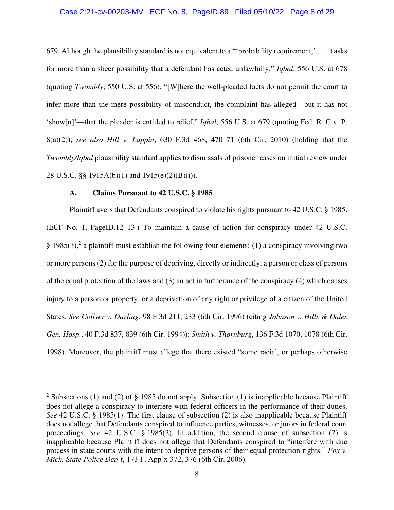#### Case 2:21-cv-00203-MV ECF No. 8, PageID.89 Filed 05/10/22 Page 8 of 29

679. Although the plausibility standard is not equivalent to a "'probability requirement,' . . . it asks for more than a sheer possibility that a defendant has acted unlawfully." *Iqbal*, 556 U.S. at 678 (quoting *Twombly*, 550 U.S. at 556). "[W]here the well-pleaded facts do not permit the court to infer more than the mere possibility of misconduct, the complaint has alleged—but it has not 'show[n]'—that the pleader is entitled to relief." *Iqbal*, 556 U.S. at 679 (quoting Fed. R. Civ. P. 8(a)(2)); *see also Hill v. Lappin*, 630 F.3d 468, 470–71 (6th Cir. 2010) (holding that the *Twombly/Iqbal* plausibility standard applies to dismissals of prisoner cases on initial review under 28 U.S.C. §§ 1915A(b)(1) and 1915(e)(2)(B)(i)).

### **A. Claims Pursuant to 42 U.S.C. § 1985**

Plaintiff avers that Defendants conspired to violate his rights pursuant to 42 U.S.C. § 1985. (ECF No. 1, PageID.12–13.) To maintain a cause of action for conspiracy under 42 U.S.C. § 1985(3),<sup>2</sup> a plaintiff must establish the following four elements: (1) a conspiracy involving two or more persons (2) for the purpose of depriving, directly or indirectly, a person or class of persons of the equal protection of the laws and (3) an act in furtherance of the conspiracy (4) which causes injury to a person or property, or a deprivation of any right or privilege of a citizen of the United States. *See Collyer v. Darling*, 98 F.3d 211, 233 (6th Cir. 1996) (citing *Johnson v. Hills & Dales Gen. Hosp*., 40 F.3d 837, 839 (6th Cir. 1994)); *Smith v. Thornburg*, 136 F.3d 1070, 1078 (6th Cir. 1998). Moreover, the plaintiff must allege that there existed "some racial, or perhaps otherwise

<sup>&</sup>lt;sup>2</sup> Subsections (1) and (2) of § 1985 do not apply. Subsection (1) is inapplicable because Plaintiff does not allege a conspiracy to interfere with federal officers in the performance of their duties. *See* 42 U.S.C. § 1985(1). The first clause of subsection (2) is also inapplicable because Plaintiff does not allege that Defendants conspired to influence parties, witnesses, or jurors in federal court proceedings. *See* 42 U.S.C. § 1985(2). In addition, the second clause of subsection (2) is inapplicable because Plaintiff does not allege that Defendants conspired to "interfere with due process in state courts with the intent to deprive persons of their equal protection rights." *Fox v. Mich. State Police Dep't*, 173 F. App'x 372, 376 (6th Cir. 2006).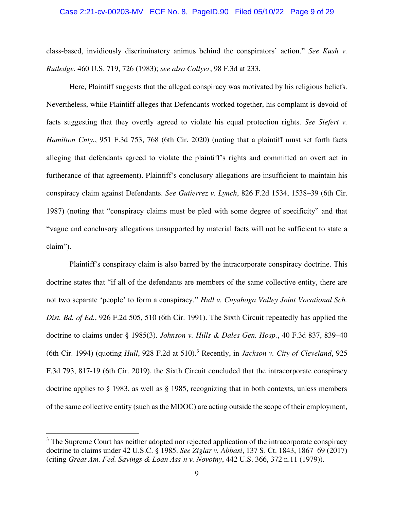#### Case 2:21-cv-00203-MV ECF No. 8, PageID.90 Filed 05/10/22 Page 9 of 29

class-based, invidiously discriminatory animus behind the conspirators' action." *See Kush v. Rutledge*, 460 U.S. 719, 726 (1983); *see also Collyer*, 98 F.3d at 233.

Here, Plaintiff suggests that the alleged conspiracy was motivated by his religious beliefs. Nevertheless, while Plaintiff alleges that Defendants worked together, his complaint is devoid of facts suggesting that they overtly agreed to violate his equal protection rights. *See Siefert v. Hamilton Cnty.*, 951 F.3d 753, 768 (6th Cir. 2020) (noting that a plaintiff must set forth facts alleging that defendants agreed to violate the plaintiff's rights and committed an overt act in furtherance of that agreement). Plaintiff's conclusory allegations are insufficient to maintain his conspiracy claim against Defendants. *See Gutierrez v. Lynch*, 826 F.2d 1534, 1538–39 (6th Cir. 1987) (noting that "conspiracy claims must be pled with some degree of specificity" and that "vague and conclusory allegations unsupported by material facts will not be sufficient to state a claim").

Plaintiff's conspiracy claim is also barred by the intracorporate conspiracy doctrine. This doctrine states that "if all of the defendants are members of the same collective entity, there are not two separate 'people' to form a conspiracy." *Hull v. Cuyahoga Valley Joint Vocational Sch. Dist. Bd. of Ed.*, 926 F.2d 505, 510 (6th Cir. 1991). The Sixth Circuit repeatedly has applied the doctrine to claims under § 1985(3). *Johnson v. Hills & Dales Gen. Hosp.*, 40 F.3d 837, 839–40 (6th Cir. 1994) (quoting *Hull*, 928 F.2d at 510).<sup>3</sup> Recently, in *Jackson v. City of Cleveland*, 925 F.3d 793, 817-19 (6th Cir. 2019), the Sixth Circuit concluded that the intracorporate conspiracy doctrine applies to § 1983, as well as § 1985, recognizing that in both contexts, unless members of the same collective entity (such as the MDOC) are acting outside the scope of their employment,

<sup>&</sup>lt;sup>3</sup> The Supreme Court has neither adopted nor rejected application of the intracorporate conspiracy doctrine to claims under 42 U.S.C. § 1985. *See Ziglar v. Abbasi*, 137 S. Ct. 1843, 1867–69 (2017) (citing *Great Am. Fed. Savings & Loan Ass'n v. Novotny*, 442 U.S. 366, 372 n.11 (1979)).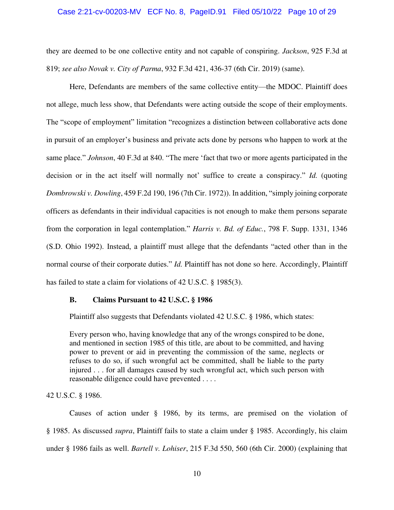#### Case 2:21-cv-00203-MV ECF No. 8, PageID.91 Filed 05/10/22 Page 10 of 29

they are deemed to be one collective entity and not capable of conspiring. *Jackson*, 925 F.3d at 819; *see also Novak v. City of Parma*[, 932 F.3d 421, 436-37 \(6th Cir. 2019\)](https://1.next.westlaw.com/Link/Document/FullText?findType=Y&serNum=2048789331&pubNum=0000506&originatingDoc=I1b25fbe0238811eaa49a848616f1a2d2&refType=RP&fi=co_pp_sp_506_436&originationContext=document&transitionType=DocumentItem&ppcid=e84d8a3b4cbc4b4d9db28e3a2908fd0e&contextData=(sc.Search)#co_pp_sp_506_436) (same).

Here, Defendants are members of the same collective entity—the MDOC. Plaintiff does not allege, much less show, that Defendants were acting outside the scope of their employments. The "scope of employment" limitation "recognizes a distinction between collaborative acts done in pursuit of an employer's business and private acts done by persons who happen to work at the same place." *Johnson*, 40 F.3d at 840. "The mere 'fact that two or more agents participated in the decision or in the act itself will normally not' suffice to create a conspiracy." *Id.* (quoting *Dombrowski v. Dowling*, 459 F.2d 190, 196 (7th Cir. 1972)). In addition, "simply joining corporate officers as defendants in their individual capacities is not enough to make them persons separate from the corporation in legal contemplation." *Harris v. Bd. of Educ.*, 798 F. Supp. 1331, 1346 (S.D. Ohio 1992). Instead, a plaintiff must allege that the defendants "acted other than in the normal course of their corporate duties." *Id.* Plaintiff has not done so here. Accordingly, Plaintiff has failed to state a claim for violations of 42 U.S.C. § 1985(3).

#### **B. Claims Pursuant to 42 U.S.C. § 1986**

Plaintiff also suggests that Defendants violated 42 U.S.C. § 1986, which states:

Every person who, having knowledge that any of the wrongs conspired to be done, and mentioned in section 1985 of this title, are about to be committed, and having power to prevent or aid in preventing the commission of the same, neglects or refuses to do so, if such wrongful act be committed, shall be liable to the party injured . . . for all damages caused by such wrongful act, which such person with reasonable diligence could have prevented . . . .

42 U.S.C. § 1986.

Causes of action under § 1986, by its terms, are premised on the violation of § 1985. As discussed *supra*, Plaintiff fails to state a claim under § 1985. Accordingly, his claim under § 1986 fails as well. *Bartell v. Lohiser*, 215 F.3d 550, 560 (6th Cir. 2000) (explaining that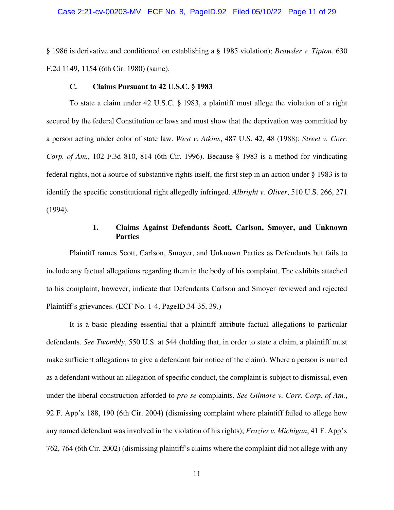#### Case 2:21-cv-00203-MV ECF No. 8, PageID.92 Filed 05/10/22 Page 11 of 29

§ 1986 is derivative and conditioned on establishing a § 1985 violation); *Browder v. Tipton*, 630 F.2d 1149, 1154 (6th Cir. 1980) (same).

### **C. Claims Pursuant to 42 U.S.C. § 1983**

To state a claim under 42 U.S.C. § 1983, a plaintiff must allege the violation of a right secured by the federal Constitution or laws and must show that the deprivation was committed by a person acting under color of state law. *West v. Atkins*, 487 U.S. 42, 48 (1988); *Street v. Corr. Corp. of Am.*, 102 F.3d 810, 814 (6th Cir. 1996). Because § 1983 is a method for vindicating federal rights, not a source of substantive rights itself, the first step in an action under § 1983 is to identify the specific constitutional right allegedly infringed. *Albright v. Oliver*, 510 U.S. 266, 271 (1994).

### **1. Claims Against Defendants Scott, Carlson, Smoyer, and Unknown Parties**

Plaintiff names Scott, Carlson, Smoyer, and Unknown Parties as Defendants but fails to include any factual allegations regarding them in the body of his complaint. The exhibits attached to his complaint, however, indicate that Defendants Carlson and Smoyer reviewed and rejected Plaintiff's grievances. (ECF No. 1-4, PageID.34-35, 39.)

It is a basic pleading essential that a plaintiff attribute factual allegations to particular defendants. *See Twombly*, 550 U.S. at 544 (holding that, in order to state a claim, a plaintiff must make sufficient allegations to give a defendant fair notice of the claim). Where a person is named as a defendant without an allegation of specific conduct, the complaint is subject to dismissal, even under the liberal construction afforded to *pro se* complaints. *See Gilmore v. Corr. Corp. of Am.*, 92 F. App'x 188, 190 (6th Cir. 2004) (dismissing complaint where plaintiff failed to allege how any named defendant was involved in the violation of his rights); *Frazier v. Michigan*, 41 F. App'x 762, 764 (6th Cir. 2002) (dismissing plaintiff's claims where the complaint did not allege with any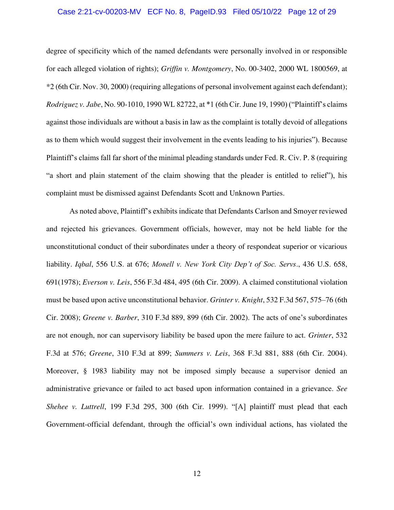#### Case 2:21-cv-00203-MV ECF No. 8, PageID.93 Filed 05/10/22 Page 12 of 29

degree of specificity which of the named defendants were personally involved in or responsible for each alleged violation of rights); *Griffin v. Montgomery*, No. 00-3402, 2000 WL 1800569, at \*2 (6th Cir. Nov. 30, 2000) (requiring allegations of personal involvement against each defendant); *Rodriguez v. Jabe*, No. 90-1010, 1990 WL 82722, at \*1 (6th Cir. June 19, 1990) ("Plaintiff's claims against those individuals are without a basis in law as the complaint is totally devoid of allegations as to them which would suggest their involvement in the events leading to his injuries"). Because Plaintiff's claims fall far short of the minimal pleading standards under Fed. R. Civ. P. 8 (requiring "a short and plain statement of the claim showing that the pleader is entitled to relief"), his complaint must be dismissed against Defendants Scott and Unknown Parties.

As noted above, Plaintiff's exhibits indicate that Defendants Carlson and Smoyer reviewed and rejected his grievances. Government officials, however, may not be held liable for the unconstitutional conduct of their subordinates under a theory of respondeat superior or vicarious liability. *Iqbal*, 556 U.S. at 676; *Monell v. New York City Dep't of Soc. Servs*., 436 U.S. 658, 691(1978); *Everson v. Leis*, 556 F.3d 484, 495 (6th Cir. 2009). A claimed constitutional violation must be based upon active unconstitutional behavior. *Grinter v. Knight*, 532 F.3d 567, 575–76 (6th Cir. 2008); *Greene v. Barber*, 310 F.3d 889, 899 (6th Cir. 2002). The acts of one's subordinates are not enough, nor can supervisory liability be based upon the mere failure to act. *Grinter*, 532 F.3d at 576; *Greene*, 310 F.3d at 899; *Summers v. Leis*, 368 F.3d 881, 888 (6th Cir. 2004). Moreover, § 1983 liability may not be imposed simply because a supervisor denied an administrative grievance or failed to act based upon information contained in a grievance. *See Shehee v. Luttrell*, 199 F.3d 295, 300 (6th Cir. 1999). "[A] plaintiff must plead that each Government-official defendant, through the official's own individual actions, has violated the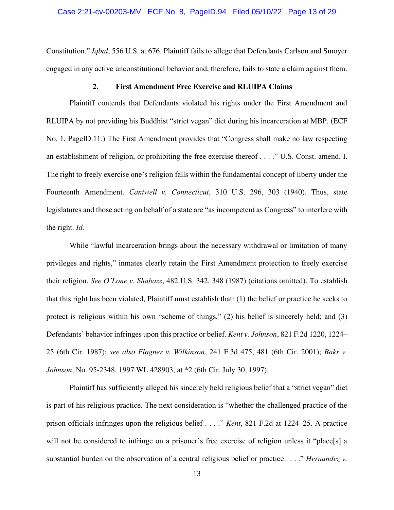Constitution." *Iqbal*, 556 U.S. at 676. Plaintiff fails to allege that Defendants Carlson and Smoyer engaged in any active unconstitutional behavior and, therefore, fails to state a claim against them.

### **2. First Amendment Free Exercise and RLUIPA Claims**

Plaintiff contends that Defendants violated his rights under the First Amendment and RLUIPA by not providing his Buddhist "strict vegan" diet during his incarceration at MBP. (ECF No. 1, PageID.11.) The First Amendment provides that "Congress shall make no law respecting an establishment of religion, or prohibiting the free exercise thereof . . . ." U.S. Const. amend. I. The right to freely exercise one's religion falls within the fundamental concept of liberty under the Fourteenth Amendment. *Cantwell v. Connecticut*, 310 U.S. 296, 303 (1940). Thus, state legislatures and those acting on behalf of a state are "as incompetent as Congress" to interfere with the right. *Id.*

While "lawful incarceration brings about the necessary withdrawal or limitation of many privileges and rights," inmates clearly retain the First Amendment protection to freely exercise their religion. *See O'Lone v. Shabazz*, 482 U.S. 342, 348 (1987) (citations omitted). To establish that this right has been violated, Plaintiff must establish that: (1) the belief or practice he seeks to protect is religious within his own "scheme of things," (2) his belief is sincerely held; and (3) Defendants' behavior infringes upon this practice or belief. *Kent v. Johnson*, 821 F.2d 1220, 1224– 25 (6th Cir. 1987); *see also Flagner v. Wilkinson*, 241 F.3d 475, 481 (6th Cir. 2001); *Bakr v. Johnson*, No. 95-2348, 1997 WL 428903, at \*2 (6th Cir. July 30, 1997).

Plaintiff has sufficiently alleged his sincerely held religious belief that a "strict vegan" diet is part of his religious practice. The next consideration is "whether the challenged practice of the prison officials infringes upon the religious belief . . . ." *Kent*, 821 F.2d at 1224–25. A practice will not be considered to infringe on a prisoner's free exercise of religion unless it "place[s] a substantial burden on the observation of a central religious belief or practice . . . ." *Hernandez v.*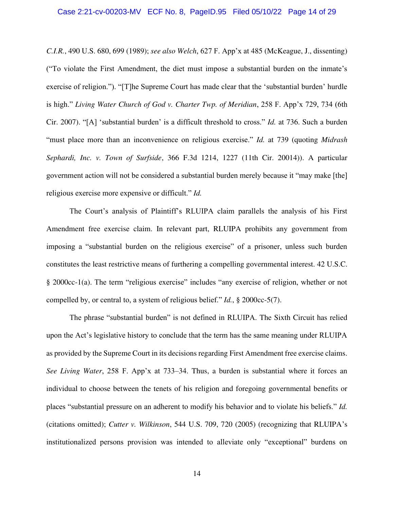*C.I.R.*, 490 U.S. 680, 699 (1989); *see also Welch*, 627 F. App'x at 485 (McKeague, J., dissenting) ("To violate the First Amendment, the diet must impose a substantial burden on the inmate's exercise of religion."). "[T]he Supreme Court has made clear that the 'substantial burden' hurdle is high." *Living Water Church of God v. Charter Twp. of Meridian*, 258 F. App'x 729, 734 (6th Cir. 2007). "[A] 'substantial burden' is a difficult threshold to cross." *Id.* at 736. Such a burden "must place more than an inconvenience on religious exercise." *Id.* at 739 (quoting *Midrash Sephardi, Inc. v. Town of Surfside*, 366 F.3d 1214, 1227 (11th Cir. 20014)). A particular government action will not be considered a substantial burden merely because it "may make [the] religious exercise more expensive or difficult." *Id.*

The Court's analysis of Plaintiff's RLUIPA claim parallels the analysis of his First Amendment free exercise claim. In relevant part, RLUIPA prohibits any government from imposing a "substantial burden on the religious exercise" of a prisoner, unless such burden constitutes the least restrictive means of furthering a compelling governmental interest. 42 U.S.C. § 2000cc-1(a). The term "religious exercise" includes "any exercise of religion, whether or not compelled by, or central to, a system of religious belief." *Id.*, § 2000cc-5(7).

The phrase "substantial burden" is not defined in RLUIPA. The Sixth Circuit has relied upon the Act's legislative history to conclude that the term has the same meaning under RLUIPA as provided by the Supreme Court in its decisions regarding First Amendment free exercise claims. *See Living Water*, 258 F. App'x at 733–34. Thus, a burden is substantial where it forces an individual to choose between the tenets of his religion and foregoing governmental benefits or places "substantial pressure on an adherent to modify his behavior and to violate his beliefs." *Id.* (citations omitted); *Cutter v. Wilkinson*, 544 U.S. 709, 720 (2005) (recognizing that RLUIPA's institutionalized persons provision was intended to alleviate only "exceptional" burdens on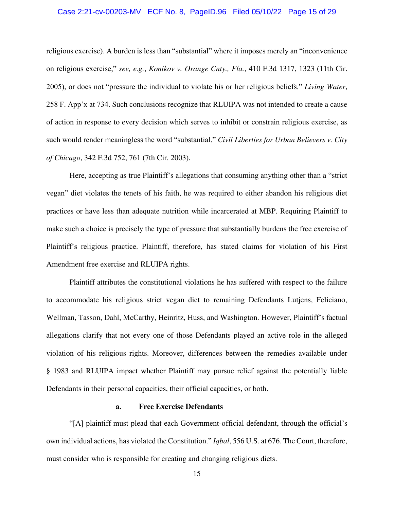#### Case 2:21-cv-00203-MV ECF No. 8, PageID.96 Filed 05/10/22 Page 15 of 29

religious exercise). A burden is less than "substantial" where it imposes merely an "inconvenience on religious exercise," *see, e.g.*, *Konikov v. Orange Cnty., Fla.*, 410 F.3d 1317, 1323 (11th Cir. 2005), or does not "pressure the individual to violate his or her religious beliefs." *Living Water*, 258 F. App'x at 734. Such conclusions recognize that RLUIPA was not intended to create a cause of action in response to every decision which serves to inhibit or constrain religious exercise, as such would render meaningless the word "substantial." *Civil Liberties for Urban Believers v. City of Chicago*, 342 F.3d 752, 761 (7th Cir. 2003).

Here, accepting as true Plaintiff's allegations that consuming anything other than a "strict vegan" diet violates the tenets of his faith, he was required to either abandon his religious diet practices or have less than adequate nutrition while incarcerated at MBP. Requiring Plaintiff to make such a choice is precisely the type of pressure that substantially burdens the free exercise of Plaintiff's religious practice. Plaintiff, therefore, has stated claims for violation of his First Amendment free exercise and RLUIPA rights.

Plaintiff attributes the constitutional violations he has suffered with respect to the failure to accommodate his religious strict vegan diet to remaining Defendants Lutjens, Feliciano, Wellman, Tasson, Dahl, McCarthy, Heinritz, Huss, and Washington. However, Plaintiff's factual allegations clarify that not every one of those Defendants played an active role in the alleged violation of his religious rights. Moreover, differences between the remedies available under § 1983 and RLUIPA impact whether Plaintiff may pursue relief against the potentially liable Defendants in their personal capacities, their official capacities, or both.

#### **a. Free Exercise Defendants**

"[A] plaintiff must plead that each Government-official defendant, through the official's own individual actions, has violated the Constitution." *Iqbal*, 556 U.S. at 676. The Court, therefore, must consider who is responsible for creating and changing religious diets.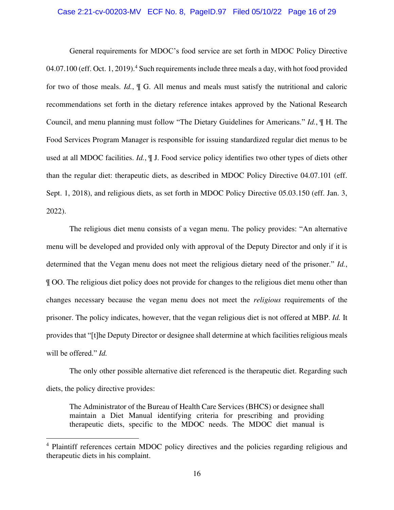#### Case 2:21-cv-00203-MV ECF No. 8, PageID.97 Filed 05/10/22 Page 16 of 29

General requirements for MDOC's food service are set forth in MDOC Policy Directive  $04.07.100$  (eff. Oct. 1, 2019).<sup>4</sup> Such requirements include three meals a day, with hot food provided for two of those meals. *Id.*, ¶ G. All menus and meals must satisfy the nutritional and caloric recommendations set forth in the dietary reference intakes approved by the National Research Council, and menu planning must follow "The Dietary Guidelines for Americans." *Id.*, ¶ H. The Food Services Program Manager is responsible for issuing standardized regular diet menus to be used at all MDOC facilities. *Id.*, ¶ J. Food service policy identifies two other types of diets other than the regular diet: therapeutic diets, as described in MDOC Policy Directive 04.07.101 (eff. Sept. 1, 2018), and religious diets, as set forth in MDOC Policy Directive 05.03.150 (eff. Jan. 3, 2022).

The religious diet menu consists of a vegan menu. The policy provides: "An alternative menu will be developed and provided only with approval of the Deputy Director and only if it is determined that the Vegan menu does not meet the religious dietary need of the prisoner." *Id.*, ¶ OO. The religious diet policy does not provide for changes to the religious diet menu other than changes necessary because the vegan menu does not meet the *religious* requirements of the prisoner. The policy indicates, however, that the vegan religious diet is not offered at MBP. *Id.* It provides that "[t]he Deputy Director or designee shall determine at which facilities religious meals will be offered." *Id.*

The only other possible alternative diet referenced is the therapeutic diet. Regarding such diets, the policy directive provides:

The Administrator of the Bureau of Health Care Services (BHCS) or designee shall maintain a Diet Manual identifying criteria for prescribing and providing therapeutic diets, specific to the MDOC needs. The MDOC diet manual is

<sup>&</sup>lt;sup>4</sup> Plaintiff references certain MDOC policy directives and the policies regarding religious and therapeutic diets in his complaint.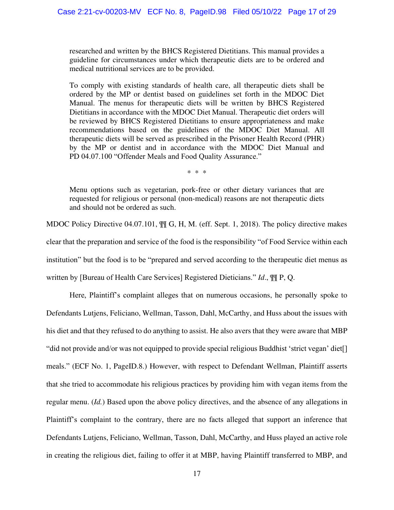researched and written by the BHCS Registered Dietitians. This manual provides a guideline for circumstances under which therapeutic diets are to be ordered and medical nutritional services are to be provided.

To comply with existing standards of health care, all therapeutic diets shall be ordered by the MP or dentist based on guidelines set forth in the MDOC Diet Manual. The menus for therapeutic diets will be written by BHCS Registered Dietitians in accordance with the MDOC Diet Manual. Therapeutic diet orders will be reviewed by BHCS Registered Dietitians to ensure appropriateness and make recommendations based on the guidelines of the MDOC Diet Manual. All therapeutic diets will be served as prescribed in the Prisoner Health Record (PHR) by the MP or dentist and in accordance with the MDOC Diet Manual and PD 04.07.100 "Offender Meals and Food Quality Assurance."

\* \* \*

Menu options such as vegetarian, pork-free or other dietary variances that are requested for religious or personal (non-medical) reasons are not therapeutic diets and should not be ordered as such.

MDOC Policy Directive 04.07.101,  $\mathbb{I} \mathbb{I}$  G, H, M. (eff. Sept. 1, 2018). The policy directive makes clear that the preparation and service of the food is the responsibility "of Food Service within each institution" but the food is to be "prepared and served according to the therapeutic diet menus as written by [Bureau of Health Care Services] Registered Dieticians." *Id*., ¶¶ P, Q.

Here, Plaintiff's complaint alleges that on numerous occasions, he personally spoke to Defendants Lutjens, Feliciano, Wellman, Tasson, Dahl, McCarthy, and Huss about the issues with his diet and that they refused to do anything to assist. He also avers that they were aware that MBP "did not provide and/or was not equipped to provide special religious Buddhist 'strict vegan' diet[] meals." (ECF No. 1, PageID.8.) However, with respect to Defendant Wellman, Plaintiff asserts that she tried to accommodate his religious practices by providing him with vegan items from the regular menu. (*Id.*) Based upon the above policy directives, and the absence of any allegations in Plaintiff's complaint to the contrary, there are no facts alleged that support an inference that Defendants Lutjens, Feliciano, Wellman, Tasson, Dahl, McCarthy, and Huss played an active role in creating the religious diet, failing to offer it at MBP, having Plaintiff transferred to MBP, and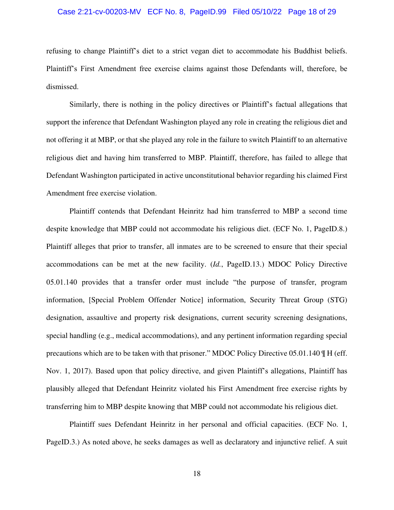#### Case 2:21-cv-00203-MV ECF No. 8, PageID.99 Filed 05/10/22 Page 18 of 29

refusing to change Plaintiff's diet to a strict vegan diet to accommodate his Buddhist beliefs. Plaintiff's First Amendment free exercise claims against those Defendants will, therefore, be dismissed.

Similarly, there is nothing in the policy directives or Plaintiff's factual allegations that support the inference that Defendant Washington played any role in creating the religious diet and not offering it at MBP, or that she played any role in the failure to switch Plaintiff to an alternative religious diet and having him transferred to MBP. Plaintiff, therefore, has failed to allege that Defendant Washington participated in active unconstitutional behavior regarding his claimed First Amendment free exercise violation.

Plaintiff contends that Defendant Heinritz had him transferred to MBP a second time despite knowledge that MBP could not accommodate his religious diet. (ECF No. 1, PageID.8.) Plaintiff alleges that prior to transfer, all inmates are to be screened to ensure that their special accommodations can be met at the new facility. (*Id.*, PageID.13.) MDOC Policy Directive 05.01.140 provides that a transfer order must include "the purpose of transfer, program information, [Special Problem Offender Notice] information, Security Threat Group (STG) designation, assaultive and property risk designations, current security screening designations, special handling (e.g., medical accommodations), and any pertinent information regarding special precautions which are to be taken with that prisoner." MDOC Policy Directive 05.01.140 ¶ H (eff. Nov. 1, 2017). Based upon that policy directive, and given Plaintiff's allegations, Plaintiff has plausibly alleged that Defendant Heinritz violated his First Amendment free exercise rights by transferring him to MBP despite knowing that MBP could not accommodate his religious diet.

Plaintiff sues Defendant Heinritz in her personal and official capacities. (ECF No. 1, PageID.3.) As noted above, he seeks damages as well as declaratory and injunctive relief. A suit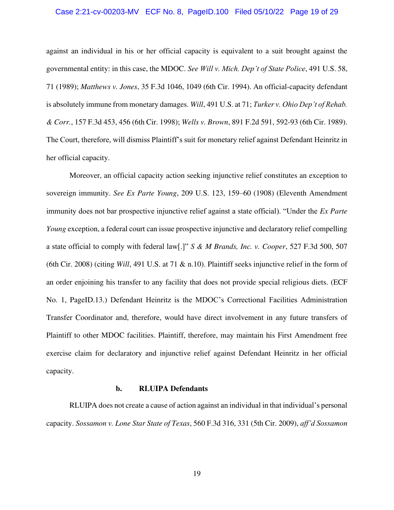#### Case 2:21-cv-00203-MV ECF No. 8, PageID.100 Filed 05/10/22 Page 19 of 29

against an individual in his or her official capacity is equivalent to a suit brought against the governmental entity: in this case, the MDOC. *See Will v. Mich. Dep't of State Police*, 491 U.S. 58, 71 (1989); *Matthews v. Jones*, 35 F.3d 1046, 1049 (6th Cir. 1994). An official-capacity defendant is absolutely immune from monetary damages. *Will*, 491 U.S. at 71; *Turker v. Ohio Dep't of Rehab. & Corr.*, 157 F.3d 453, 456 (6th Cir. 1998); *Wells v. Brown*, 891 F.2d 591, 592-93 (6th Cir. 1989). The Court, therefore, will dismiss Plaintiff's suit for monetary relief against Defendant Heinritz in her official capacity.

Moreover, an official capacity action seeking injunctive relief constitutes an exception to sovereign immunity. *See Ex Parte Young*, 209 U.S. 123, 159–60 (1908) (Eleventh Amendment immunity does not bar prospective injunctive relief against a state official). "Under the *Ex Parte Young* exception, a federal court can issue prospective injunctive and declaratory relief compelling a state official to comply with federal law[.]" *S & M Brands, Inc. v. Cooper*, 527 F.3d 500, 507 (6th Cir. 2008) (citing *Will*, 491 U.S. at 71 & n.10). Plaintiff seeks injunctive relief in the form of an order enjoining his transfer to any facility that does not provide special religious diets. (ECF No. 1, PageID.13.) Defendant Heinritz is the MDOC's Correctional Facilities Administration Transfer Coordinator and, therefore, would have direct involvement in any future transfers of Plaintiff to other MDOC facilities. Plaintiff, therefore, may maintain his First Amendment free exercise claim for declaratory and injunctive relief against Defendant Heinritz in her official capacity.

#### **b. RLUIPA Defendants**

RLUIPA does not create a cause of action against an individual in that individual's personal capacity. *Sossamon v. Lone Star State of Texas*, 560 F.3d 316, 331 (5th Cir. 2009), *aff'd Sossamon*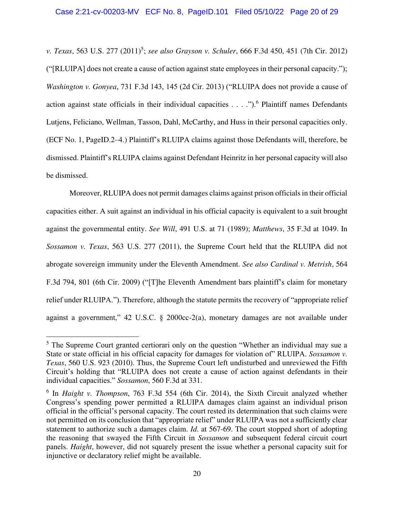*v. Texas*, 563 U.S. 277 (2011)<sup>5</sup>; *see also Grayson v. Schuler*, 666 F.3d 450, 451 (7th Cir. 2012) ("[RLUIPA] does not create a cause of action against state employees in their personal capacity."); *Washington v. Gonyea*, 731 F.3d 143, 145 (2d Cir. 2013) ("RLUIPA does not provide a cause of action against state officials in their individual capacities . . . .").<sup>6</sup> Plaintiff names Defendants Lutjens, Feliciano, Wellman, Tasson, Dahl, McCarthy, and Huss in their personal capacities only. (ECF No. 1, PageID.2–4.) Plaintiff's RLUIPA claims against those Defendants will, therefore, be dismissed. Plaintiff's RLUIPA claims against Defendant Heinritz in her personal capacity will also be dismissed.

Moreover, RLUIPA does not permit damages claims against prison officials in their official capacities either. A suit against an individual in his official capacity is equivalent to a suit brought against the governmental entity. *See Will*, 491 U.S. at 71 (1989); *Matthews*, 35 F.3d at 1049. In *Sossamon v. Texas*, 563 U.S. 277 (2011), the Supreme Court held that the RLUIPA did not abrogate sovereign immunity under the Eleventh Amendment. *See also Cardinal v. Metrish*, 564 F.3d 794, 801 (6th Cir. 2009) ("[T]he Eleventh Amendment bars plaintiff's claim for monetary relief under RLUIPA."). Therefore, although the statute permits the recovery of "appropriate relief against a government," 42 U.S.C. § 2000cc-2(a), monetary damages are not available under

<sup>&</sup>lt;sup>5</sup> The Supreme Court granted certiorari only on the question "Whether an individual may sue a State or state official in his official capacity for damages for violation of" RLUIPA. *Sossamon v. Texas*, 560 U.S. 923 (2010). Thus, the Supreme Court left undisturbed and unreviewed the Fifth Circuit's holding that "RLUIPA does not create a cause of action against defendants in their individual capacities." *Sossamon*, 560 F.3d at 331.

<sup>&</sup>lt;sup>6</sup> In *Haight v. Thompson*, 763 F.3d 554 (6th Cir. 2014), the Sixth Circuit analyzed whether Congress's spending power permitted a RLUIPA damages claim against an individual prison official in the official's personal capacity. The court rested its determination that such claims were not permitted on its conclusion that "appropriate relief" under RLUIPA was not a sufficiently clear statement to authorize such a damages claim. *Id*. at 567-69. The court stopped short of adopting the reasoning that swayed the Fifth Circuit in *Sossamon* and subsequent federal circuit court panels. *Haight*, however, did not squarely present the issue whether a personal capacity suit for injunctive or declaratory relief might be available.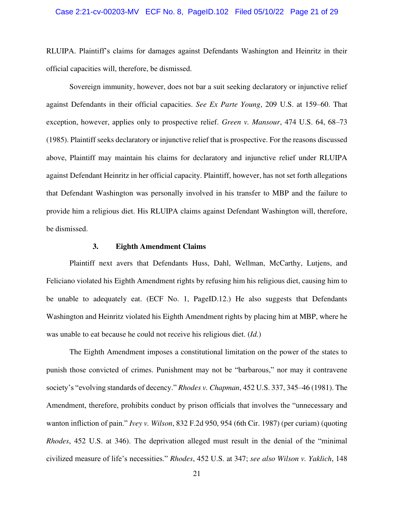RLUIPA. Plaintiff's claims for damages against Defendants Washington and Heinritz in their official capacities will, therefore, be dismissed.

Sovereign immunity, however, does not bar a suit seeking declaratory or injunctive relief against Defendants in their official capacities. *See Ex Parte Young*, 209 U.S. at 159–60. That exception, however, applies only to prospective relief. *Green v. Mansour*, 474 U.S. 64, 68–73 (1985). Plaintiff seeks declaratory or injunctive relief that is prospective. For the reasons discussed above, Plaintiff may maintain his claims for declaratory and injunctive relief under RLUIPA against Defendant Heinritz in her official capacity. Plaintiff, however, has not set forth allegations that Defendant Washington was personally involved in his transfer to MBP and the failure to provide him a religious diet. His RLUIPA claims against Defendant Washington will, therefore, be dismissed.

#### **3. Eighth Amendment Claims**

Plaintiff next avers that Defendants Huss, Dahl, Wellman, McCarthy, Lutjens, and Feliciano violated his Eighth Amendment rights by refusing him his religious diet, causing him to be unable to adequately eat. (ECF No. 1, PageID.12.) He also suggests that Defendants Washington and Heinritz violated his Eighth Amendment rights by placing him at MBP, where he was unable to eat because he could not receive his religious diet. (*Id.*)

The Eighth Amendment imposes a constitutional limitation on the power of the states to punish those convicted of crimes. Punishment may not be "barbarous," nor may it contravene society's "evolving standards of decency." *Rhodes v. Chapman*, 452 U.S. 337, 345–46 (1981). The Amendment, therefore, prohibits conduct by prison officials that involves the "unnecessary and wanton infliction of pain." *Ivey v. Wilson*, 832 F.2d 950, 954 (6th Cir. 1987) (per curiam) (quoting *Rhodes*, 452 U.S. at 346). The deprivation alleged must result in the denial of the "minimal civilized measure of life's necessities." *Rhodes*, 452 U.S. at 347; *see also Wilson v. Yaklich*, 148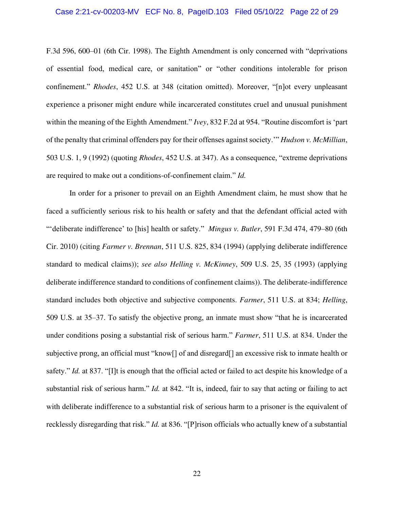#### Case 2:21-cv-00203-MV ECF No. 8, PageID.103 Filed 05/10/22 Page 22 of 29

F.3d 596, 600–01 (6th Cir. 1998). The Eighth Amendment is only concerned with "deprivations of essential food, medical care, or sanitation" or "other conditions intolerable for prison confinement." *Rhodes*, 452 U.S. at 348 (citation omitted). Moreover, "[n]ot every unpleasant experience a prisoner might endure while incarcerated constitutes cruel and unusual punishment within the meaning of the Eighth Amendment." *Ivey*, 832 F.2d at 954. "Routine discomfort is 'part of the penalty that criminal offenders pay for their offenses against society.'" *Hudson v. McMillian*, 503 U.S. 1, 9 (1992) (quoting *Rhodes*, 452 U.S. at 347). As a consequence, "extreme deprivations are required to make out a conditions-of-confinement claim." *Id.*

In order for a prisoner to prevail on an Eighth Amendment claim, he must show that he faced a sufficiently serious risk to his health or safety and that the defendant official acted with "'deliberate indifference' to [his] health or safety." *Mingus v. Butler*, 591 F.3d 474, 479–80 (6th Cir. 2010) (citing *Farmer v. Brennan*, 511 U.S. 825, 834 (1994) (applying deliberate indifference standard to medical claims)); *see also Helling v. McKinney*, 509 U.S. 25, 35 (1993) (applying deliberate indifference standard to conditions of confinement claims)). The deliberate-indifference standard includes both objective and subjective components. *Farmer*, 511 U.S. at 834; *Helling*, 509 U.S. at 35–37. To satisfy the objective prong, an inmate must show "that he is incarcerated under conditions posing a substantial risk of serious harm." *Farmer*, 511 U.S. at 834. Under the subjective prong, an official must "know[] of and disregard[] an excessive risk to inmate health or safety." *Id.* at 837. "[I]t is enough that the official acted or failed to act despite his knowledge of a substantial risk of serious harm." *Id.* at 842. "It is, indeed, fair to say that acting or failing to act with deliberate indifference to a substantial risk of serious harm to a prisoner is the equivalent of recklessly disregarding that risk." *Id.* at 836. "[P]rison officials who actually knew of a substantial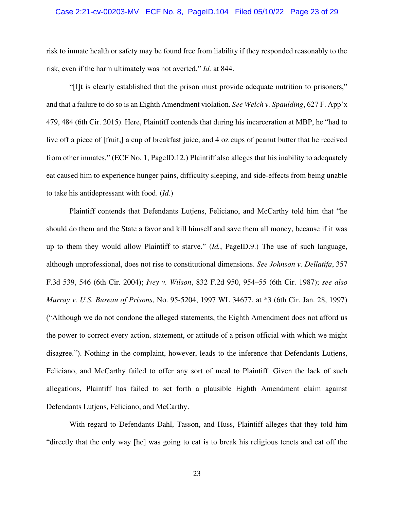#### Case 2:21-cv-00203-MV ECF No. 8, PageID.104 Filed 05/10/22 Page 23 of 29

risk to inmate health or safety may be found free from liability if they responded reasonably to the risk, even if the harm ultimately was not averted." *Id.* at 844.

"[I]t is clearly established that the prison must provide adequate nutrition to prisoners," and that a failure to do so is an Eighth Amendment violation. *See Welch v. Spaulding*, 627 F. App'x 479, 484 (6th Cir. 2015). Here, Plaintiff contends that during his incarceration at MBP, he "had to live off a piece of [fruit,] a cup of breakfast juice, and 4 oz cups of peanut butter that he received from other inmates." (ECF No. 1, PageID.12.) Plaintiff also alleges that his inability to adequately eat caused him to experience hunger pains, difficulty sleeping, and side-effects from being unable to take his antidepressant with food. (*Id.*)

Plaintiff contends that Defendants Lutjens, Feliciano, and McCarthy told him that "he should do them and the State a favor and kill himself and save them all money, because if it was up to them they would allow Plaintiff to starve." (*Id.*, PageID.9.) The use of such language, although unprofessional, does not rise to constitutional dimensions. *See Johnson v. Dellatifa*, 357 F.3d 539, 546 (6th Cir. 2004); *Ivey v. Wilson*, 832 F.2d 950, 954–55 (6th Cir. 1987); *see also Murray v. U.S. Bureau of Prisons*, No. 95-5204, 1997 WL 34677, at \*3 (6th Cir. Jan. 28, 1997) ("Although we do not condone the alleged statements, the Eighth Amendment does not afford us the power to correct every action, statement, or attitude of a prison official with which we might disagree."). Nothing in the complaint, however, leads to the inference that Defendants Lutjens, Feliciano, and McCarthy failed to offer any sort of meal to Plaintiff. Given the lack of such allegations, Plaintiff has failed to set forth a plausible Eighth Amendment claim against Defendants Lutjens, Feliciano, and McCarthy.

With regard to Defendants Dahl, Tasson, and Huss, Plaintiff alleges that they told him "directly that the only way [he] was going to eat is to break his religious tenets and eat off the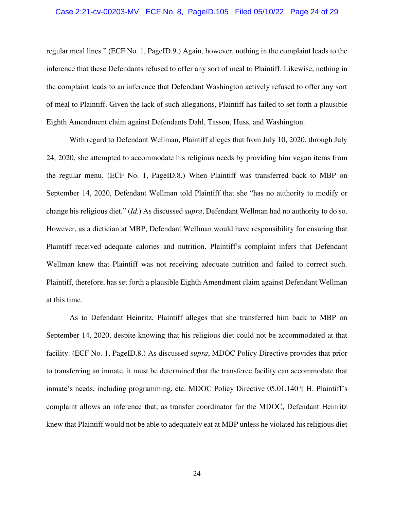#### Case 2:21-cv-00203-MV ECF No. 8, PageID.105 Filed 05/10/22 Page 24 of 29

regular meal lines." (ECF No. 1, PageID.9.) Again, however, nothing in the complaint leads to the inference that these Defendants refused to offer any sort of meal to Plaintiff. Likewise, nothing in the complaint leads to an inference that Defendant Washington actively refused to offer any sort of meal to Plaintiff. Given the lack of such allegations, Plaintiff has failed to set forth a plausible Eighth Amendment claim against Defendants Dahl, Tasson, Huss, and Washington.

With regard to Defendant Wellman, Plaintiff alleges that from July 10, 2020, through July 24, 2020, she attempted to accommodate his religious needs by providing him vegan items from the regular menu. (ECF No. 1, PageID.8.) When Plaintiff was transferred back to MBP on September 14, 2020, Defendant Wellman told Plaintiff that she "has no authority to modify or change his religious diet." (*Id.*) As discussed *supra*, Defendant Wellman had no authority to do so. However, as a dietician at MBP, Defendant Wellman would have responsibility for ensuring that Plaintiff received adequate calories and nutrition. Plaintiff's complaint infers that Defendant Wellman knew that Plaintiff was not receiving adequate nutrition and failed to correct such. Plaintiff, therefore, has set forth a plausible Eighth Amendment claim against Defendant Wellman at this time.

As to Defendant Heinritz, Plaintiff alleges that she transferred him back to MBP on September 14, 2020, despite knowing that his religious diet could not be accommodated at that facility. (ECF No. 1, PageID.8.) As discussed *supra*, MDOC Policy Directive provides that prior to transferring an inmate, it must be determined that the transferee facility can accommodate that inmate's needs, including programming, etc. MDOC Policy Directive 05.01.140 ¶ H. Plaintiff's complaint allows an inference that, as transfer coordinator for the MDOC, Defendant Heinritz knew that Plaintiff would not be able to adequately eat at MBP unless he violated his religious diet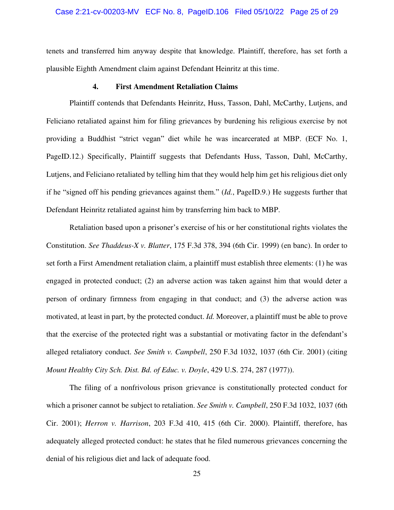#### Case 2:21-cv-00203-MV ECF No. 8, PageID.106 Filed 05/10/22 Page 25 of 29

tenets and transferred him anyway despite that knowledge. Plaintiff, therefore, has set forth a plausible Eighth Amendment claim against Defendant Heinritz at this time.

#### **4. First Amendment Retaliation Claims**

Plaintiff contends that Defendants Heinritz, Huss, Tasson, Dahl, McCarthy, Lutjens, and Feliciano retaliated against him for filing grievances by burdening his religious exercise by not providing a Buddhist "strict vegan" diet while he was incarcerated at MBP. (ECF No. 1, PageID.12.) Specifically, Plaintiff suggests that Defendants Huss, Tasson, Dahl, McCarthy, Lutjens, and Feliciano retaliated by telling him that they would help him get his religious diet only if he "signed off his pending grievances against them." (*Id.*, PageID.9.) He suggests further that Defendant Heinritz retaliated against him by transferring him back to MBP.

Retaliation based upon a prisoner's exercise of his or her constitutional rights violates the Constitution. *See Thaddeus-X v. Blatter*, 175 F.3d 378, 394 (6th Cir. 1999) (en banc). In order to set forth a First Amendment retaliation claim, a plaintiff must establish three elements: (1) he was engaged in protected conduct; (2) an adverse action was taken against him that would deter a person of ordinary firmness from engaging in that conduct; and (3) the adverse action was motivated, at least in part, by the protected conduct. *Id.* Moreover, a plaintiff must be able to prove that the exercise of the protected right was a substantial or motivating factor in the defendant's alleged retaliatory conduct. *See Smith v. Campbell*, 250 F.3d 1032, 1037 (6th Cir. 2001) (citing *Mount Healthy City Sch. Dist. Bd. of Educ. v. Doyle*, 429 U.S. 274, 287 (1977)).

The filing of a nonfrivolous prison grievance is constitutionally protected conduct for which a prisoner cannot be subject to retaliation. *See Smith v. Campbell*, 250 F.3d 1032, 1037 (6th Cir. 2001); *Herron v. Harrison*, 203 F.3d 410, 415 (6th Cir. 2000). Plaintiff, therefore, has adequately alleged protected conduct: he states that he filed numerous grievances concerning the denial of his religious diet and lack of adequate food.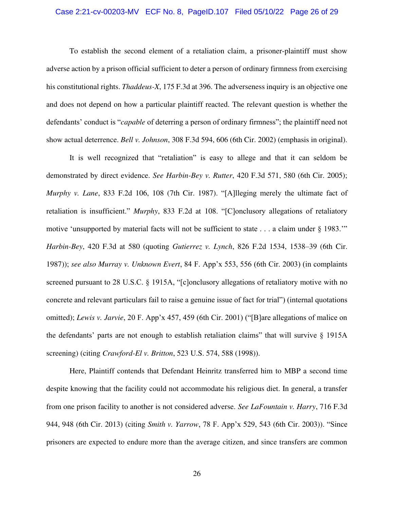#### Case 2:21-cv-00203-MV ECF No. 8, PageID.107 Filed 05/10/22 Page 26 of 29

To establish the second element of a retaliation claim, a prisoner-plaintiff must show adverse action by a prison official sufficient to deter a person of ordinary firmness from exercising his constitutional rights. *Thaddeus-X*, 175 F.3d at 396. The adverseness inquiry is an objective one and does not depend on how a particular plaintiff reacted. The relevant question is whether the defendants' conduct is "*capable* of deterring a person of ordinary firmness"; the plaintiff need not show actual deterrence. *Bell v. Johnson*, 308 F.3d 594, 606 (6th Cir. 2002) (emphasis in original).

It is well recognized that "retaliation" is easy to allege and that it can seldom be demonstrated by direct evidence. *See Harbin-Bey v. Rutter*, 420 F.3d 571, 580 (6th Cir. 2005); *Murphy v. Lane*, 833 F.2d 106, 108 (7th Cir. 1987). "[A]lleging merely the ultimate fact of retaliation is insufficient." *Murphy*, 833 F.2d at 108. "[C]onclusory allegations of retaliatory motive 'unsupported by material facts will not be sufficient to state . . . a claim under § 1983." *Harbin-Bey*, 420 F.3d at 580 (quoting *Gutierrez v. Lynch*, 826 F.2d 1534, 1538–39 (6th Cir. 1987)); *see also Murray v. Unknown Evert*, 84 F. App'x 553, 556 (6th Cir. 2003) (in complaints screened pursuant to 28 U.S.C. § 1915A, "[c]onclusory allegations of retaliatory motive with no concrete and relevant particulars fail to raise a genuine issue of fact for trial") (internal quotations omitted); *Lewis v. Jarvie*, 20 F. App'x 457, 459 (6th Cir. 2001) ("[B]are allegations of malice on the defendants' parts are not enough to establish retaliation claims" that will survive § 1915A screening) (citing *Crawford-El v. Britton*, 523 U.S. 574, 588 (1998)).

Here, Plaintiff contends that Defendant Heinritz transferred him to MBP a second time despite knowing that the facility could not accommodate his religious diet. In general, a transfer from one prison facility to another is not considered adverse. *See LaFountain v. Harry*, 716 F.3d 944, 948 (6th Cir. 2013) (citing *Smith v. Yarrow*, 78 F. App'x 529, 543 (6th Cir. 2003)). "Since prisoners are expected to endure more than the average citizen, and since transfers are common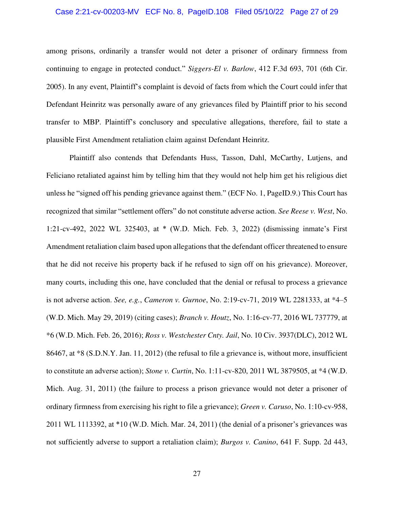#### Case 2:21-cv-00203-MV ECF No. 8, PageID.108 Filed 05/10/22 Page 27 of 29

among prisons, ordinarily a transfer would not deter a prisoner of ordinary firmness from continuing to engage in protected conduct." *Siggers-El v. Barlow*, 412 F.3d 693, 701 (6th Cir. 2005). In any event, Plaintiff's complaint is devoid of facts from which the Court could infer that Defendant Heinritz was personally aware of any grievances filed by Plaintiff prior to his second transfer to MBP. Plaintiff's conclusory and speculative allegations, therefore, fail to state a plausible First Amendment retaliation claim against Defendant Heinritz.

Plaintiff also contends that Defendants Huss, Tasson, Dahl, McCarthy, Lutjens, and Feliciano retaliated against him by telling him that they would not help him get his religious diet unless he "signed off his pending grievance against them." (ECF No. 1, PageID.9.) This Court has recognized that similar "settlement offers" do not constitute adverse action. *See Reese v. West*, No. 1:21-cv-492, 2022 WL 325403, at \* (W.D. Mich. Feb. 3, 2022) (dismissing inmate's First Amendment retaliation claim based upon allegations that the defendant officer threatened to ensure that he did not receive his property back if he refused to sign off on his grievance). Moreover, many courts, including this one, have concluded that the denial or refusal to process a grievance is not adverse action. *See, e.g.*, *Cameron v. Gurnoe*, No. 2:19-cv-71, 2019 WL 2281333, at \*4–5 (W.D. Mich. May 29, 2019) (citing cases); *Branch v. Houtz*, No. 1:16-cv-77, 2016 WL 737779, at \*6 (W.D. Mich. Feb. 26, 2016); *Ross v. Westchester Cnty. Jail*, No. 10 Civ. 3937(DLC), 2012 WL 86467, at \*8 (S.D.N.Y. Jan. 11, 2012) (the refusal to file a grievance is, without more, insufficient to constitute an adverse action); *Stone v. Curtin*, No. 1:11-cv-820, 2011 WL 3879505, at \*4 (W.D. Mich. Aug. 31, 2011) (the failure to process a prison grievance would not deter a prisoner of ordinary firmness from exercising his right to file a grievance); *Green v. Caruso*, No. 1:10-cv-958, 2011 WL 1113392, at \*10 (W.D. Mich. Mar. 24, 2011) (the denial of a prisoner's grievances was not sufficiently adverse to support a retaliation claim); *Burgos v. Canino*, 641 F. Supp. 2d 443,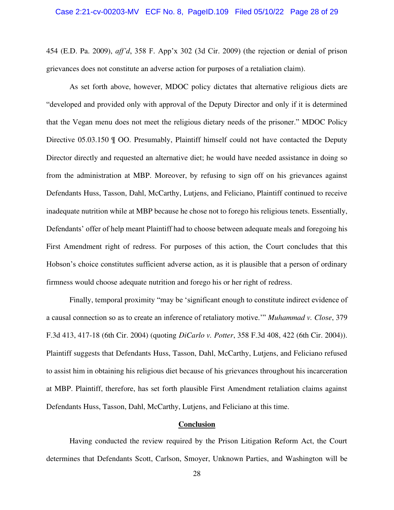454 (E.D. Pa. 2009), *aff'd*, 358 F. App'x 302 (3d Cir. 2009) (the rejection or denial of prison grievances does not constitute an adverse action for purposes of a retaliation claim).

As set forth above, however, MDOC policy dictates that alternative religious diets are "developed and provided only with approval of the Deputy Director and only if it is determined that the Vegan menu does not meet the religious dietary needs of the prisoner." MDOC Policy Directive 05.03.150 ¶ OO. Presumably, Plaintiff himself could not have contacted the Deputy Director directly and requested an alternative diet; he would have needed assistance in doing so from the administration at MBP. Moreover, by refusing to sign off on his grievances against Defendants Huss, Tasson, Dahl, McCarthy, Lutjens, and Feliciano, Plaintiff continued to receive inadequate nutrition while at MBP because he chose not to forego his religious tenets. Essentially, Defendants' offer of help meant Plaintiff had to choose between adequate meals and foregoing his First Amendment right of redress. For purposes of this action, the Court concludes that this Hobson's choice constitutes sufficient adverse action, as it is plausible that a person of ordinary firmness would choose adequate nutrition and forego his or her right of redress.

Finally, temporal proximity "may be 'significant enough to constitute indirect evidence of a causal connection so as to create an inference of retaliatory motive.'" *Muhammad v. Close*, 379 F.3d 413, 417-18 (6th Cir. 2004) (quoting *DiCarlo v. Potter*, 358 F.3d 408, 422 (6th Cir. 2004)). Plaintiff suggests that Defendants Huss, Tasson, Dahl, McCarthy, Lutjens, and Feliciano refused to assist him in obtaining his religious diet because of his grievances throughout his incarceration at MBP. Plaintiff, therefore, has set forth plausible First Amendment retaliation claims against Defendants Huss, Tasson, Dahl, McCarthy, Lutjens, and Feliciano at this time.

### **Conclusion**

Having conducted the review required by the Prison Litigation Reform Act, the Court determines that Defendants Scott, Carlson, Smoyer, Unknown Parties, and Washington will be